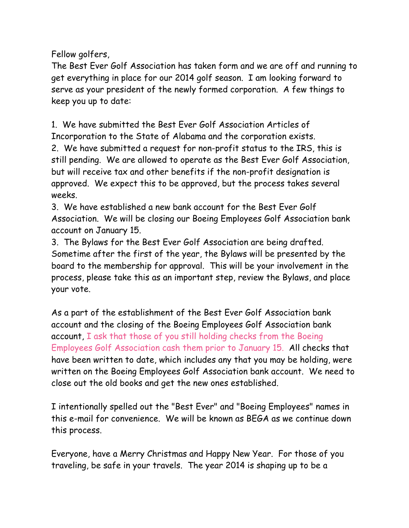Fellow golfers,

The Best Ever Golf Association has taken form and we are off and running to get everything in place for our 2014 golf season. I am looking forward to serve as your president of the newly formed corporation. A few things to keep you up to date:

1. We have submitted the Best Ever Golf Association Articles of Incorporation to the State of Alabama and the corporation exists.

2. We have submitted a request for non-profit status to the IRS, this is still pending. We are allowed to operate as the Best Ever Golf Association, but will receive tax and other benefits if the non-profit designation is approved. We expect this to be approved, but the process takes several weeks.

3. We have established a new bank account for the Best Ever Golf Association. We will be closing our Boeing Employees Golf Association bank account on January 15.

3. The Bylaws for the Best Ever Golf Association are being drafted. Sometime after the first of the year, the Bylaws will be presented by the board to the membership for approval. This will be your involvement in the process, please take this as an important step, review the Bylaws, and place your vote.

As a part of the establishment of the Best Ever Golf Association bank account and the closing of the Boeing Employees Golf Association bank account, I ask that those of you still holding checks from the Boeing Employees Golf Association cash them prior to January 15. All checks that have been written to date, which includes any that you may be holding, were written on the Boeing Employees Golf Association bank account. We need to close out the old books and get the new ones established.

I intentionally spelled out the "Best Ever" and "Boeing Employees" names in this e-mail for convenience. We will be known as BEGA as we continue down this process.

Everyone, have a Merry Christmas and Happy New Year. For those of you traveling, be safe in your travels. The year 2014 is shaping up to be a